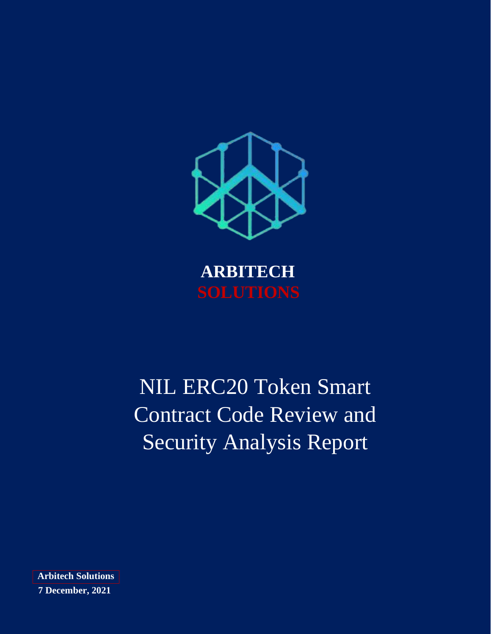

**ARBITECH**

# NIL ERC20 Token Smart Contract Code Review and Security Analysis Report

**Arbitech Solutions 7 December, 2021**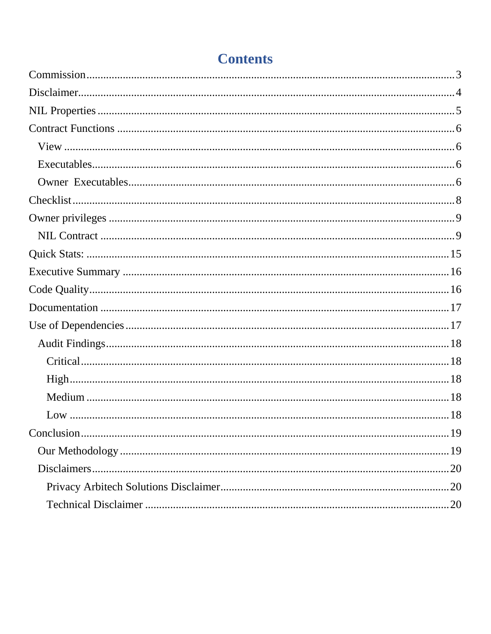# **Contents**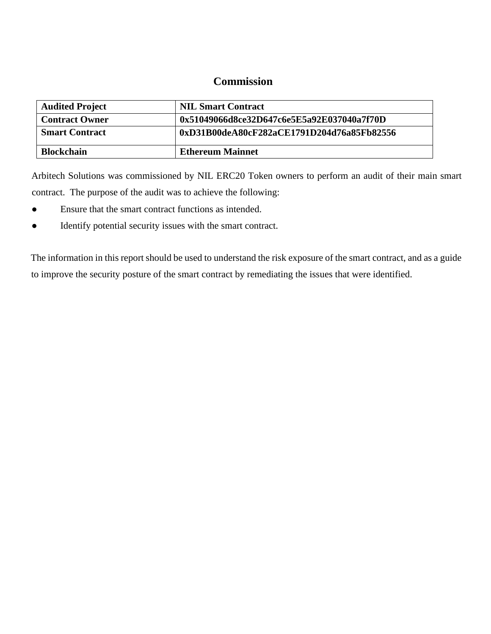### **Commission**

<span id="page-2-0"></span>

| <b>Audited Project</b> | <b>NIL Smart Contract</b>                  |
|------------------------|--------------------------------------------|
| <b>Contract Owner</b>  | 0x51049066d8ce32D647c6e5E5a92E037040a7f70D |
| <b>Smart Contract</b>  | 0xD31B00deA80cF282aCE1791D204d76a85Fb82556 |
| <b>Blockchain</b>      | <b>Ethereum Mainnet</b>                    |

Arbitech Solutions was commissioned by NIL ERC20 Token owners to perform an audit of their main smart contract. The purpose of the audit was to achieve the following:

- Ensure that the smart contract functions as intended.
- Identify potential security issues with the smart contract.

The information in this report should be used to understand the risk exposure of the smart contract, and as a guide to improve the security posture of the smart contract by remediating the issues that were identified.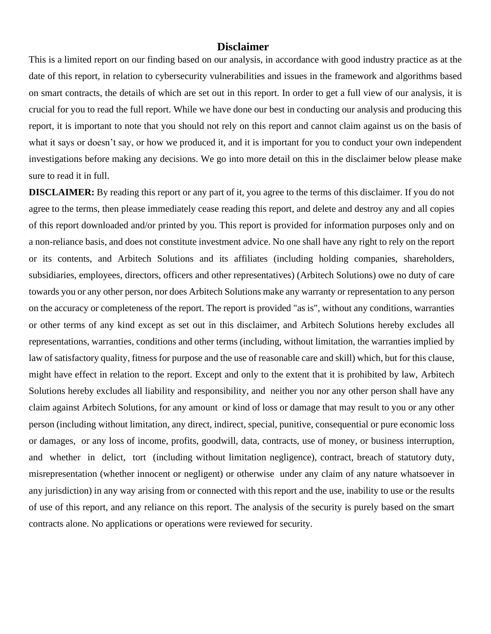#### **Disclaimer**

<span id="page-3-0"></span>This is a limited report on our finding based on our analysis, in accordance with good industry practice as at the date of this report, in relation to cybersecurity vulnerabilities and issues in the framework and algorithms based on smart contracts, the details of which are set out in this report. In order to get a full view of our analysis, it is crucial for you to read the full report. While we have done our best in conducting our analysis and producing this report, it is important to note that you should not rely on this report and cannot claim against us on the basis of what it says or doesn't say, or how we produced it, and it is important for you to conduct your own independent investigations before making any decisions. We go into more detail on this in the disclaimer below please make sure to read it in full.

**DISCLAIMER:** By reading this report or any part of it, you agree to the terms of this disclaimer. If you do not agree to the terms, then please immediately cease reading this report, and delete and destroy any and all copies of this report downloaded and/or printed by you. This report is provided for information purposes only and on a non-reliance basis, and does not constitute investment advice. No one shall have any right to rely on the report or its contents, and Arbitech Solutions and its affiliates (including holding companies, shareholders, subsidiaries, employees, directors, officers and other representatives) (Arbitech Solutions) owe no duty of care towards you or any other person, nor does Arbitech Solutions make any warranty or representation to any person on the accuracy or completeness of the report. The report is provided "as is", without any conditions, warranties or other terms of any kind except as set out in this disclaimer, and Arbitech Solutions hereby excludes all representations, warranties, conditions and other terms (including, without limitation, the warranties implied by law of satisfactory quality, fitness for purpose and the use of reasonable care and skill) which, but for this clause, might have effect in relation to the report. Except and only to the extent that it is prohibited by law, Arbitech Solutions hereby excludes all liability and responsibility, and neither you nor any other person shall have any claim against Arbitech Solutions, for any amount or kind of loss or damage that may result to you or any other person (including without limitation, any direct, indirect, special, punitive, consequential or pure economic loss or damages, or any loss of income, profits, goodwill, data, contracts, use of money, or business interruption, and whether in delict, tort (including without limitation negligence), contract, breach of statutory duty, misrepresentation (whether innocent or negligent) or otherwise under any claim of any nature whatsoever in any jurisdiction) in any way arising from or connected with this report and the use, inability to use or the results of use of this report, and any reliance on this report. The analysis of the security is purely based on the smart contracts alone. No applications or operations were reviewed for security.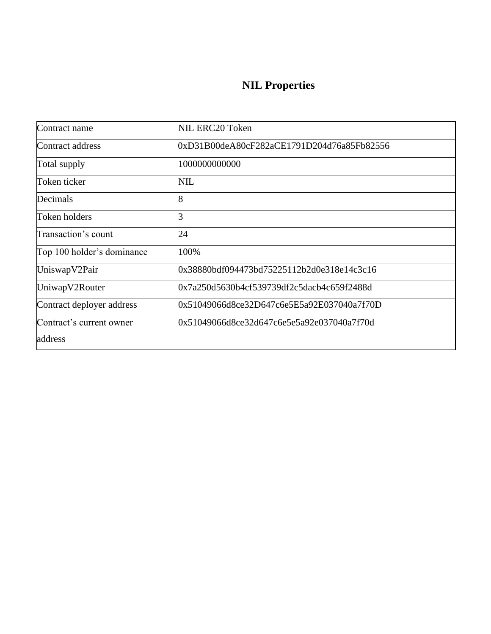# **NIL Properties**

<span id="page-4-0"></span>

| Contract name              | NIL ERC20 Token                             |
|----------------------------|---------------------------------------------|
| Contract address           | 0xD31B00deA80cF282aCE1791D204d76a85Fb82556  |
| Total supply               | 1000000000000                               |
| Token ticker               | NIL                                         |
| Decimals                   | 8                                           |
| Token holders              |                                             |
| Transaction's count        | 24                                          |
| Top 100 holder's dominance | 100%                                        |
| UniswapV2Pair              | 0x38880bdf094473bd75225112b2d0e318e14c3c16  |
| UniwapV2Router             | l0x7a250d5630b4cf539739df2c5dacb4c659f2488d |
| Contract deployer address  | 0x51049066d8ce32D647c6e5E5a92E037040a7f70D  |
| Contract's current owner   | 0x51049066d8ce32d647c6e5e5a92e037040a7f70d  |
| address                    |                                             |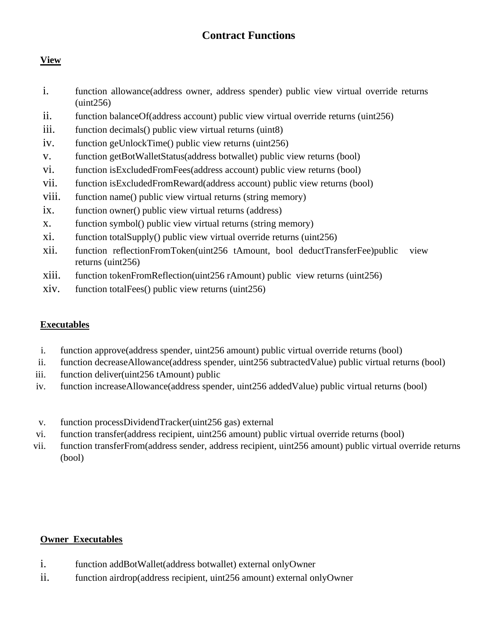### **Contract Functions**

### <span id="page-5-1"></span><span id="page-5-0"></span>**View**

- i. function allowance(address owner, address spender) public view virtual override returns (uint256)
- ii. function balanceOf(address account) public view virtual override returns (uint256)
- iii. function decimals() public view virtual returns (uint8)
- iv. function geUnlockTime() public view returns (uint256)
- v. function getBotWalletStatus(address botwallet) public view returns (bool)
- vi. function isExcludedFromFees(address account) public view returns (bool)
- vii. function isExcludedFromReward(address account) public view returns (bool)
- viii. function name() public view virtual returns (string memory)
- ix. function owner() public view virtual returns (address)
- x. function symbol() public view virtual returns (string memory)
- xi. function totalSupply() public view virtual override returns (uint256)
- xii. function reflectionFromToken(uint256 tAmount, bool deductTransferFee)public view returns (uint256)
- xiii. function tokenFromReflection(uint256 rAmount) public view returns (uint256)
- xiv. function totalFees() public view returns (uint256)

#### <span id="page-5-2"></span>**Executables**

- i. function approve(address spender, uint256 amount) public virtual override returns (bool)
- ii. function decreaseAllowance(address spender, uint256 subtractedValue) public virtual returns (bool)
- iii. function deliver(uint256 tAmount) public
- iv. function increaseAllowance(address spender, uint256 addedValue) public virtual returns (bool)
- v. function processDividendTracker(uint256 gas) external
- vi. function transfer(address recipient, uint256 amount) public virtual override returns (bool)
- vii. function transferFrom(address sender, address recipient, uint256 amount) public virtual override returns (bool)

#### <span id="page-5-3"></span>**Owner Executables**

- i. function addBotWallet(address botwallet) external onlyOwner
- ii. function airdrop(address recipient, uint256 amount) external onlyOwner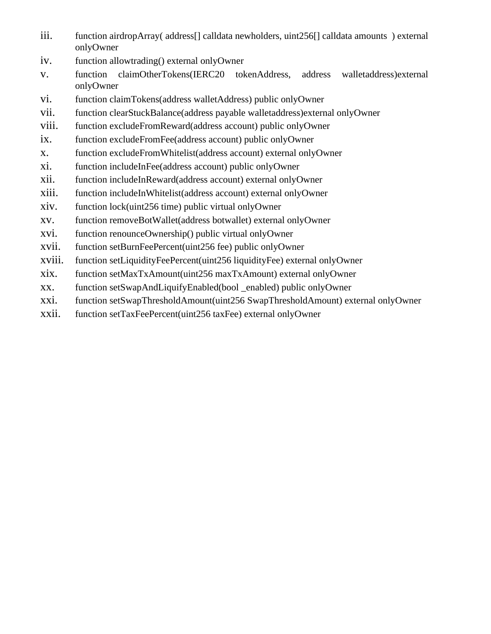- iii. function airdropArray( address[] calldata newholders, uint256[] calldata amounts ) external onlyOwner
- iv. function allowtrading() external onlyOwner
- v. function claimOtherTokens(IERC20 tokenAddress, address walletaddress)external onlyOwner
- vi. function claimTokens(address walletAddress) public onlyOwner
- vii. function clearStuckBalance(address payable walletaddress)external onlyOwner
- viii. function excludeFromReward(address account) public onlyOwner
- ix. function excludeFromFee(address account) public onlyOwner
- x. function excludeFromWhitelist(address account) external onlyOwner
- xi. function includeInFee(address account) public onlyOwner
- xii. function includeInReward(address account) external onlyOwner
- xiii. function includeInWhitelist(address account) external onlyOwner
- xiv. function lock(uint256 time) public virtual onlyOwner
- xv. function removeBotWallet(address botwallet) external onlyOwner
- xvi. function renounceOwnership() public virtual onlyOwner
- xvii. function setBurnFeePercent(uint256 fee) public onlyOwner
- xviii. function setLiquidityFeePercent(uint256 liquidityFee) external onlyOwner
- xix. function setMaxTxAmount(uint256 maxTxAmount) external onlyOwner
- xx. function setSwapAndLiquifyEnabled(bool \_enabled) public onlyOwner
- xxi. function setSwapThresholdAmount(uint256 SwapThresholdAmount) external onlyOwner
- xxii. function setTaxFeePercent(uint256 taxFee) external onlyOwner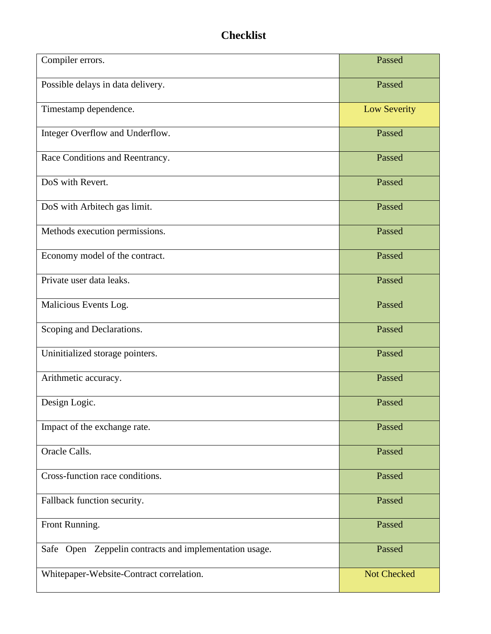# **Checklist**

<span id="page-7-0"></span>

| Compiler errors.                                       | Passed              |
|--------------------------------------------------------|---------------------|
| Possible delays in data delivery.                      | Passed              |
| Timestamp dependence.                                  | <b>Low Severity</b> |
| Integer Overflow and Underflow.                        | Passed              |
| Race Conditions and Reentrancy.                        | Passed              |
| DoS with Revert.                                       | Passed              |
| DoS with Arbitech gas limit.                           | Passed              |
| Methods execution permissions.                         | Passed              |
| Economy model of the contract.                         | Passed              |
| Private user data leaks.                               | Passed              |
| Malicious Events Log.                                  | Passed              |
| Scoping and Declarations.                              | Passed              |
| Uninitialized storage pointers.                        | Passed              |
| Arithmetic accuracy.                                   | Passed              |
| Design Logic.                                          | Passed              |
| Impact of the exchange rate.                           | Passed              |
| Oracle Calls.                                          | Passed              |
| Cross-function race conditions.                        | Passed              |
| Fallback function security.                            | Passed              |
| Front Running.                                         | Passed              |
| Safe Open Zeppelin contracts and implementation usage. | Passed              |
| Whitepaper-Website-Contract correlation.               | Not Checked         |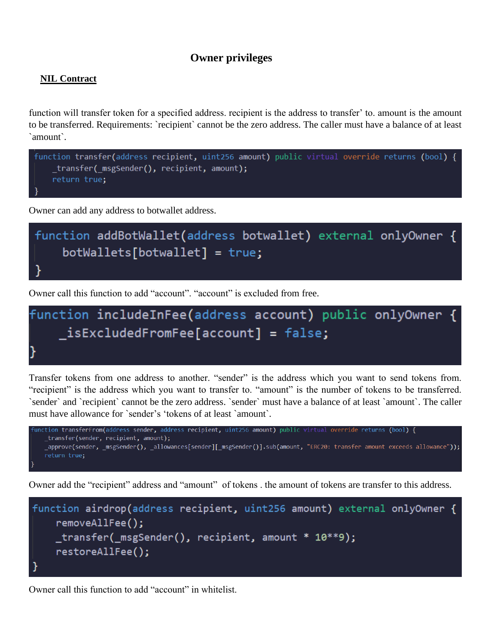### **Owner privileges**

#### <span id="page-8-1"></span><span id="page-8-0"></span>**NIL Contract**

function will transfer token for a specified address. recipient is the address to transfer' to. amount is the amount to be transferred. Requirements: `recipient` cannot be the zero address. The caller must have a balance of at least `amount`.



Owner can add any address to botwallet address.



Owner call this function to add "account". "account" is excluded from free.



Transfer tokens from one address to another. "sender" is the address which you want to send tokens from. "recipient" is the address which you want to transfer to. "amount" is the number of tokens to be transferred. `sender` and `recipient` cannot be the zero address. `sender` must have a balance of at least `amount`. The caller must have allowance for `sender's 'tokens of at least `amount`.



Owner add the "recipient" address and "amount" of tokens . the amount of tokens are transfer to this address.



Owner call this function to add "account" in whitelist.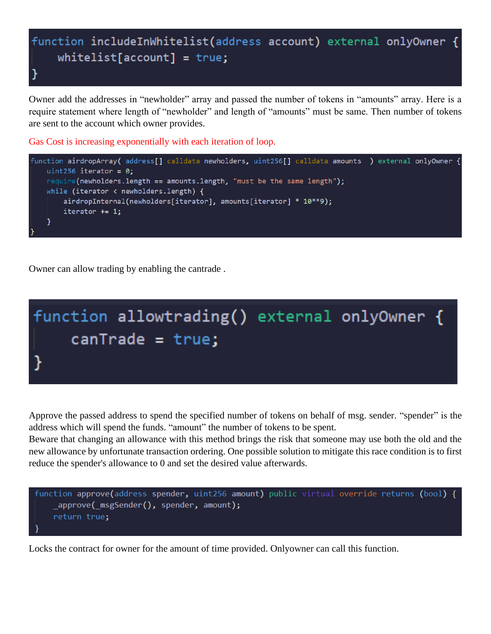

Owner add the addresses in "newholder" array and passed the number of tokens in "amounts" array. Here is a require statement where length of "newholder" and length of "amounts" must be same. Then number of tokens are sent to the account which owner provides.

Gas Cost is increasing exponentially with each iteration of loop.



Owner can allow trading by enabling the cantrade .



Approve the passed address to spend the specified number of tokens on behalf of msg. sender. "spender" is the address which will spend the funds. "amount" the number of tokens to be spent.

Beware that changing an allowance with this method brings the risk that someone may use both the old and the new allowance by unfortunate transaction ordering. One possible solution to mitigate this race condition is to first reduce the spender's allowance to 0 and set the desired value afterwards.



Locks the contract for owner for the amount of time provided. Onlyowner can call this function.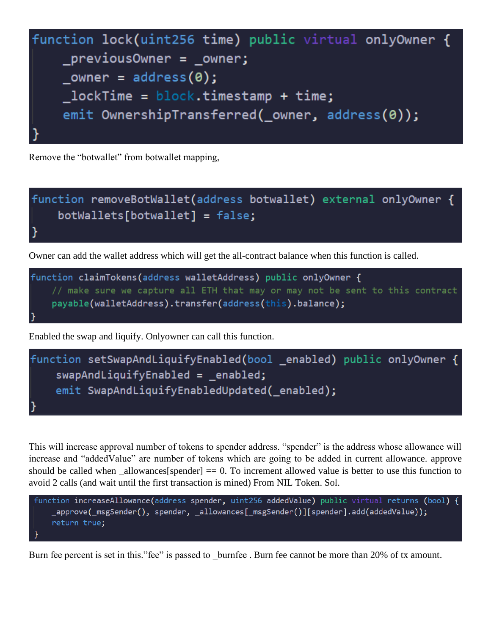

Remove the "botwallet" from botwallet mapping,



Owner can add the wallet address which will get the all-contract balance when this function is called.



Enabled the swap and liquify. Onlyowner can call this function.



This will increase approval number of tokens to spender address. "spender" is the address whose allowance will increase and "addedValue" are number of tokens which are going to be added in current allowance. approve should be called when  $\text{allowances}[\text{spender}] = 0$ . To increment allowed value is better to use this function to avoid 2 calls (and wait until the first transaction is mined) From NIL Token. Sol.

```
function increaseAllowance(address spender, uint256 addedValue) public virtual returns (bool) {
    _approve(_msgSender(), spender, _allowances[_msgSender()][spender].add(addedValue));
   return true;
```
Burn fee percent is set in this."fee" is passed to burnfee. Burn fee cannot be more than 20% of tx amount.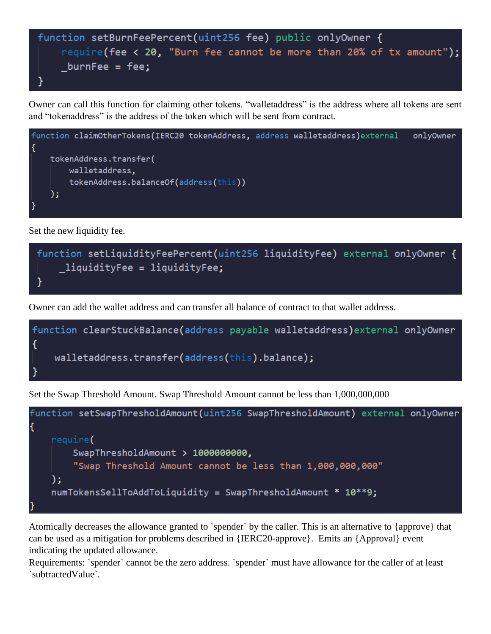```
function setBurnFeePercent(uint256 fee) public onlyOwner {
   require(fee < 20, "Burn fee cannot be more than 20% of tx amount");
   burnFee = fee;
```
Owner can call this function for claiming other tokens. "walletaddress" is the address where all tokens are sent and "tokenaddress" is the address of the token which will be sent from contract.



Set the new liquidity fee.

# function setLiquidityFeePercent(uint256 liquidityFee) external onlyOwner {  $\lrcorner$ liquidityFee = liquidityFee; }

Owner can add the wallet address and can transfer all balance of contract to that wallet address.

Set the Swap Threshold Amount. Swap Threshold Amount cannot be less than 1,000,000,000



Atomically decreases the allowance granted to `spender` by the caller. This is an alternative to {approve} that can be used as a mitigation for problems described in {IERC20-approve}. Emits an {Approval} event indicating the updated allowance.

Requirements: `spender` cannot be the zero address. `spender` must have allowance for the caller of at least `subtractedValue`.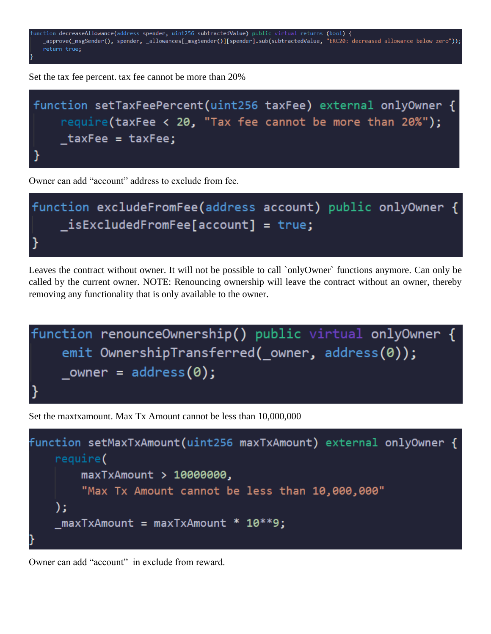

Set the tax fee percent. tax fee cannot be more than 20%



Owner can add "account" address to exclude from fee.



Leaves the contract without owner. It will not be possible to call `onlyOwner` functions anymore. Can only be called by the current owner. NOTE: Renouncing ownership will leave the contract without an owner, thereby removing any functionality that is only available to the owner.



Set the maxtxamount. Max Tx Amount cannot be less than 10,000,000



Owner can add "account" in exclude from reward.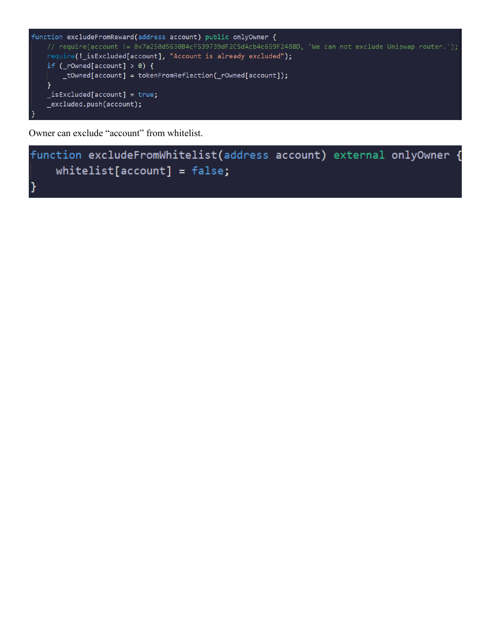```
function excludeFromReward(address account) public onlyOwner {
   // require(account != 0x7a250d5630B4cF539739dF2C5dAcb4c659F2488D, 'We can not exclude Uniswap router.');
   require(!_isExcluded[account], "Account is already excluded");
   if (\_rOwned[account] > 0) {
       _tOwned[account] = tokenFromReflection(_rOwned[account]);
   \mathcal{Y}_isExcluded[account] = true;_excluded.push(account);
```
Owner can exclude "account" from whitelist.

```
function excludeFromWhitelist(address account) external onlyOwner {
    whitelist[account] = false;
```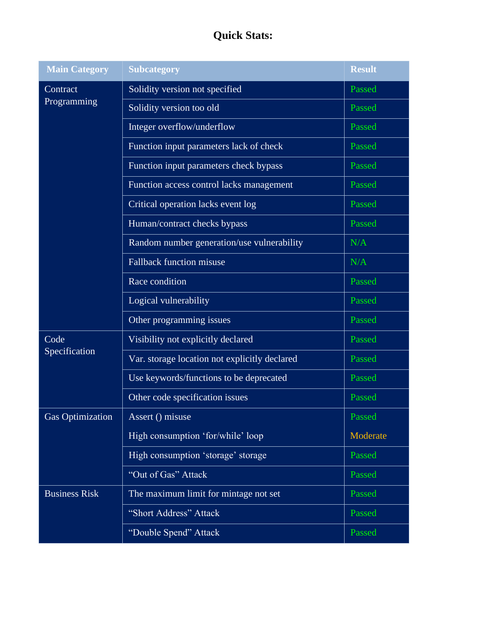# **Quick Stats:**

<span id="page-14-0"></span>

| <b>Main Category</b>    | <b>Subcategory</b>                            | <b>Result</b> |
|-------------------------|-----------------------------------------------|---------------|
| Contract<br>Programming | Solidity version not specified                | Passed        |
|                         | Solidity version too old                      | Passed        |
|                         | Integer overflow/underflow                    | Passed        |
|                         | Function input parameters lack of check       | Passed        |
|                         | Function input parameters check bypass        | Passed        |
|                         | Function access control lacks management      | Passed        |
|                         | Critical operation lacks event log            | Passed        |
|                         | Human/contract checks bypass                  | Passed        |
|                         | Random number generation/use vulnerability    | N/A           |
|                         | <b>Fallback function misuse</b>               | N/A           |
|                         | Race condition                                | Passed        |
|                         | Logical vulnerability                         | Passed        |
|                         | Other programming issues                      | Passed        |
| Code<br>Specification   | Visibility not explicitly declared            | Passed        |
|                         | Var. storage location not explicitly declared | Passed        |
|                         | Use keywords/functions to be deprecated       | Passed        |
|                         | Other code specification issues               | Passed        |
| <b>Gas Optimization</b> | Assert () misuse                              | Passed        |
|                         | High consumption 'for/while' loop             | Moderate      |
|                         | High consumption 'storage' storage            | Passed        |
|                         | "Out of Gas" Attack                           | Passed        |
| <b>Business Risk</b>    | The maximum limit for mintage not set         | Passed        |
|                         | "Short Address" Attack                        | Passed        |
|                         | "Double Spend" Attack                         | Passed        |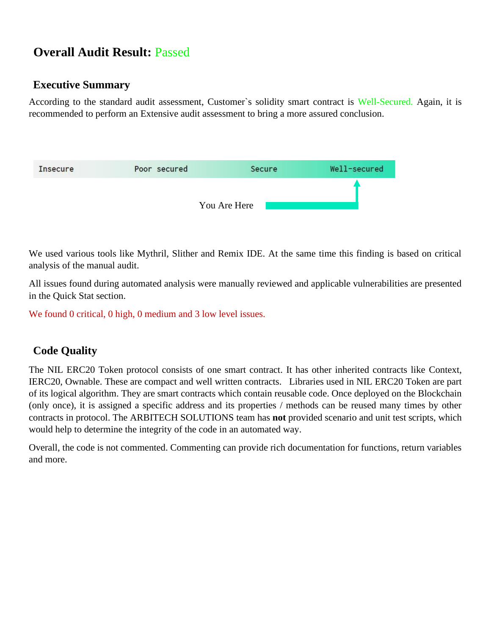# **Overall Audit Result:** Passed

### <span id="page-15-0"></span>**Executive Summary**

According to the standard audit assessment, Customer's solidity smart contract is Well-Secured. Again, it is recommended to perform an Extensive audit assessment to bring a more assured conclusion.

| Insecure | Poor secured | Secure       | Well-secured |
|----------|--------------|--------------|--------------|
|          |              |              |              |
|          |              | You Are Here |              |

We used various tools like Mythril, Slither and Remix IDE. At the same time this finding is based on critical analysis of the manual audit.

All issues found during automated analysis were manually reviewed and applicable vulnerabilities are presented in the Quick Stat section.

We found 0 critical, 0 high, 0 medium and 3 low level issues.

### <span id="page-15-1"></span>**Code Quality**

The NIL ERC20 Token protocol consists of one smart contract. It has other inherited contracts like Context, IERC20, Ownable. These are compact and well written contracts. Libraries used in NIL ERC20 Token are part of its logical algorithm. They are smart contracts which contain reusable code. Once deployed on the Blockchain (only once), it is assigned a specific address and its properties / methods can be reused many times by other contracts in protocol. The ARBITECH SOLUTIONS team has **not** provided scenario and unit test scripts, which would help to determine the integrity of the code in an automated way.

Overall, the code is not commented. Commenting can provide rich documentation for functions, return variables and more.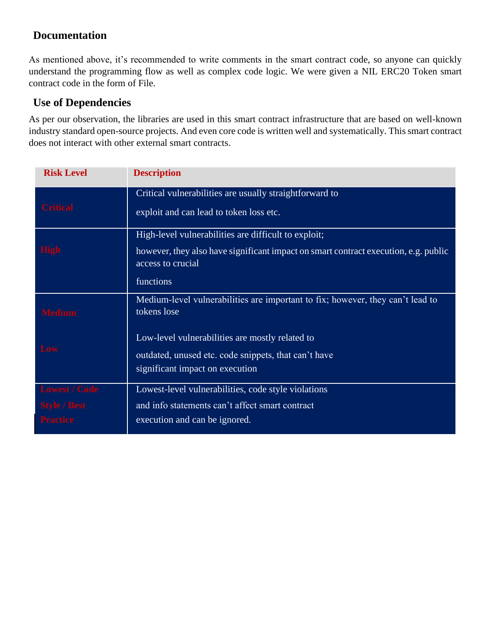### <span id="page-16-0"></span>**Documentation**

As mentioned above, it's recommended to write comments in the smart contract code, so anyone can quickly understand the programming flow as well as complex code logic. We were given a NIL ERC20 Token smart contract code in the form of File.

### <span id="page-16-1"></span>**Use of Dependencies**

As per our observation, the libraries are used in this smart contract infrastructure that are based on well-known industry standard open-source projects. And even core code is written well and systematically. This smart contract does not interact with other external smart contracts.

| <b>Risk Level</b>    | <b>Description</b>                                                                                       |
|----------------------|----------------------------------------------------------------------------------------------------------|
| <b>Critical</b>      | Critical vulnerabilities are usually straightforward to                                                  |
|                      | exploit and can lead to token loss etc.                                                                  |
|                      | High-level vulnerabilities are difficult to exploit;                                                     |
| <b>High</b>          | however, they also have significant impact on smart contract execution, e.g. public<br>access to crucial |
|                      | functions                                                                                                |
| <b>Medium</b>        | Medium-level vulnerabilities are important to fix; however, they can't lead to<br>tokens lose            |
|                      |                                                                                                          |
|                      | Low-level vulnerabilities are mostly related to                                                          |
| Low                  | outdated, unused etc. code snippets, that can't have                                                     |
|                      | significant impact on execution                                                                          |
| <b>Lowest / Code</b> | Lowest-level vulnerabilities, code style violations                                                      |
| <b>Style / Best</b>  | and info statements can't affect smart contract                                                          |
|                      | execution and can be ignored.                                                                            |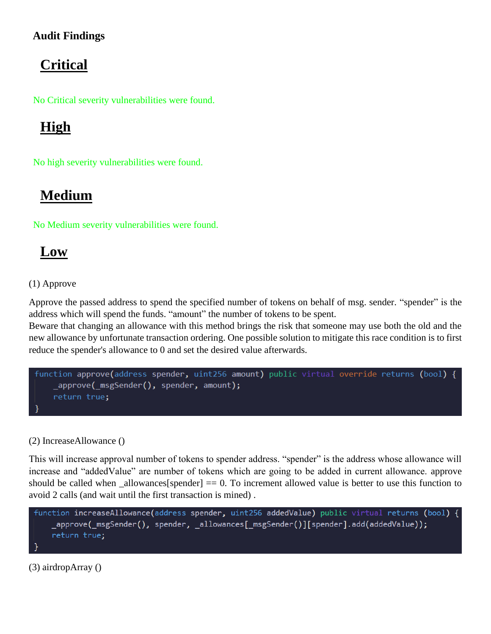### <span id="page-17-0"></span>**Audit Findings**

# <span id="page-17-1"></span>**Critical**

No Critical severity vulnerabilities were found.

# <span id="page-17-2"></span>**High**

No high severity vulnerabilities were found.

# <span id="page-17-3"></span>**Medium**

No Medium severity vulnerabilities were found.

# <span id="page-17-4"></span>**Low**

### (1) Approve

Approve the passed address to spend the specified number of tokens on behalf of msg. sender. "spender" is the address which will spend the funds. "amount" the number of tokens to be spent.

Beware that changing an allowance with this method brings the risk that someone may use both the old and the new allowance by unfortunate transaction ordering. One possible solution to mitigate this race condition is to first reduce the spender's allowance to 0 and set the desired value afterwards.

```
function approve(address spender, uint256 amount) public virtual override returns (bool) {
    approve( msgSender(), spender, amount);
    return true;
```
#### (2) IncreaseAllowance ()

This will increase approval number of tokens to spender address. "spender" is the address whose allowance will increase and "addedValue" are number of tokens which are going to be added in current allowance. approve should be called when allowances[spender]  $= 0$ . To increment allowed value is better to use this function to avoid 2 calls (and wait until the first transaction is mined) .

```
function increaseAllowance(address spender, uint256 addedValue) public virtual returns (bool) {
    _approve(_msgSender(), spender, _allowances[_msgSender()][spender].add(addedValue));
   return true;
}
```
(3) airdropArray ()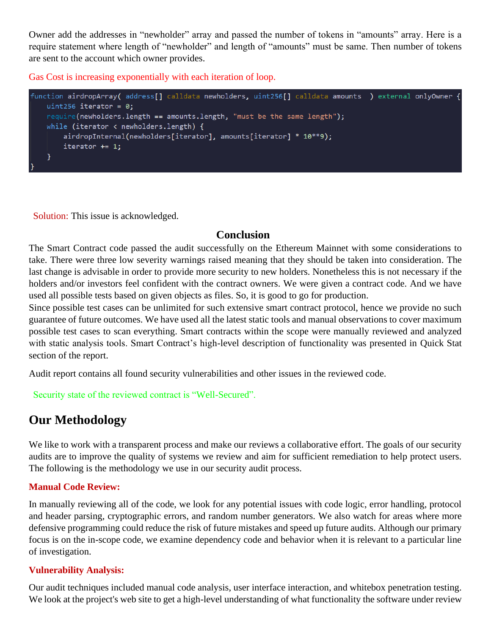Owner add the addresses in "newholder" array and passed the number of tokens in "amounts" array. Here is a require statement where length of "newholder" and length of "amounts" must be same. Then number of tokens are sent to the account which owner provides.

Gas Cost is increasing exponentially with each iteration of loop.

```
function airdropArray( address[] calldata newholders, uint256[] calldata amounts ) external onlyOwner {
   uint256 iterator = 0;require(newholders.length == amounts.length, "must be the same length");
   while (iterator < newholders.length) {
       airdropInternal(newholders[iterator], amounts[iterator] * 10**9);
       iterator += 1;}
```
Solution: This issue is acknowledged.

### **Conclusion**

<span id="page-18-0"></span>The Smart Contract code passed the audit successfully on the Ethereum Mainnet with some considerations to take. There were three low severity warnings raised meaning that they should be taken into consideration. The last change is advisable in order to provide more security to new holders. Nonetheless this is not necessary if the holders and/or investors feel confident with the contract owners. We were given a contract code. And we have used all possible tests based on given objects as files. So, it is good to go for production.

Since possible test cases can be unlimited for such extensive smart contract protocol, hence we provide no such guarantee of future outcomes. We have used all the latest static tools and manual observations to cover maximum possible test cases to scan everything. Smart contracts within the scope were manually reviewed and analyzed with static analysis tools. Smart Contract's high-level description of functionality was presented in Quick Stat section of the report.

Audit report contains all found security vulnerabilities and other issues in the reviewed code.

Security state of the reviewed contract is "Well-Secured".

### <span id="page-18-1"></span>**Our Methodology**

We like to work with a transparent process and make our reviews a collaborative effort. The goals of our security audits are to improve the quality of systems we review and aim for sufficient remediation to help protect users. The following is the methodology we use in our security audit process.

#### **Manual Code Review:**

In manually reviewing all of the code, we look for any potential issues with code logic, error handling, protocol and header parsing, cryptographic errors, and random number generators. We also watch for areas where more defensive programming could reduce the risk of future mistakes and speed up future audits. Although our primary focus is on the in-scope code, we examine dependency code and behavior when it is relevant to a particular line of investigation.

#### **Vulnerability Analysis:**

Our audit techniques included manual code analysis, user interface interaction, and whitebox penetration testing. We look at the project's web site to get a high-level understanding of what functionality the software under review